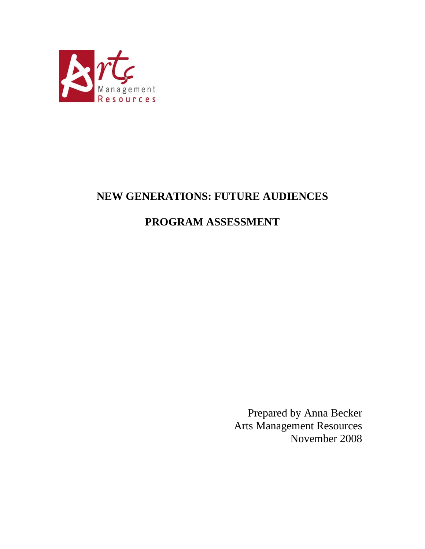

# **NEW GENERATIONS: FUTURE AUDIENCES**

# **PROGRAM ASSESSMENT**

Prepared by Anna Becker Arts Management Resources November 2008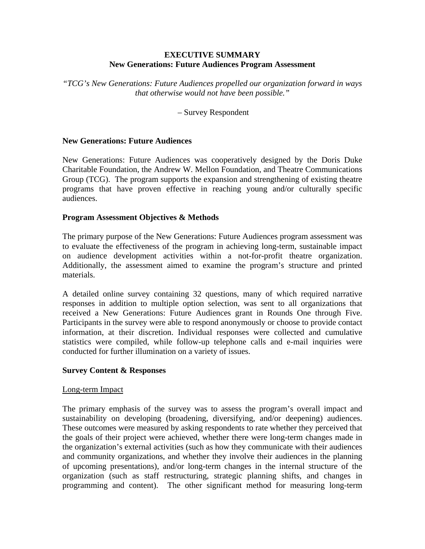#### **EXECUTIVE SUMMARY New Generations: Future Audiences Program Assessment**

*"TCG's New Generations: Future Audiences propelled our organization forward in ways that otherwise would not have been possible."* 

– Survey Respondent

#### **New Generations: Future Audiences**

New Generations: Future Audiences was cooperatively designed by the Doris Duke Charitable Foundation, the Andrew W. Mellon Foundation, and Theatre Communications Group (TCG). The program supports the expansion and strengthening of existing theatre programs that have proven effective in reaching young and/or culturally specific audiences.

#### **Program Assessment Objectives & Methods**

The primary purpose of the New Generations: Future Audiences program assessment was to evaluate the effectiveness of the program in achieving long-term, sustainable impact on audience development activities within a not-for-profit theatre organization. Additionally, the assessment aimed to examine the program's structure and printed materials.

A detailed online survey containing 32 questions, many of which required narrative responses in addition to multiple option selection, was sent to all organizations that received a New Generations: Future Audiences grant in Rounds One through Five. Participants in the survey were able to respond anonymously or choose to provide contact information, at their discretion. Individual responses were collected and cumulative statistics were compiled, while follow-up telephone calls and e-mail inquiries were conducted for further illumination on a variety of issues.

#### **Survey Content & Responses**

#### Long-term Impact

The primary emphasis of the survey was to assess the program's overall impact and sustainability on developing (broadening, diversifying, and/or deepening) audiences. These outcomes were measured by asking respondents to rate whether they perceived that the goals of their project were achieved, whether there were long-term changes made in the organization's external activities (such as how they communicate with their audiences and community organizations, and whether they involve their audiences in the planning of upcoming presentations), and/or long-term changes in the internal structure of the organization (such as staff restructuring, strategic planning shifts, and changes in programming and content). The other significant method for measuring long-term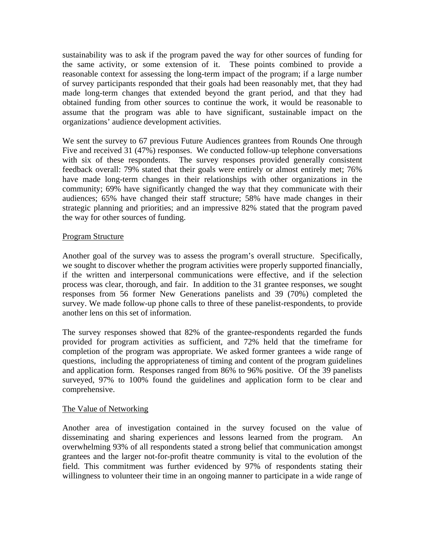sustainability was to ask if the program paved the way for other sources of funding for the same activity, or some extension of it. These points combined to provide a reasonable context for assessing the long-term impact of the program; if a large number of survey participants responded that their goals had been reasonably met, that they had made long-term changes that extended beyond the grant period, and that they had obtained funding from other sources to continue the work, it would be reasonable to assume that the program was able to have significant, sustainable impact on the organizations' audience development activities.

We sent the survey to 67 previous Future Audiences grantees from Rounds One through Five and received 31 (47%) responses. We conducted follow-up telephone conversations with six of these respondents. The survey responses provided generally consistent feedback overall: 79% stated that their goals were entirely or almost entirely met; 76% have made long-term changes in their relationships with other organizations in the community; 69% have significantly changed the way that they communicate with their audiences; 65% have changed their staff structure; 58% have made changes in their strategic planning and priorities; and an impressive 82% stated that the program paved the way for other sources of funding.

# Program Structure

Another goal of the survey was to assess the program's overall structure. Specifically, we sought to discover whether the program activities were properly supported financially, if the written and interpersonal communications were effective, and if the selection process was clear, thorough, and fair. In addition to the 31 grantee responses, we sought responses from 56 former New Generations panelists and 39 (70%) completed the survey. We made follow-up phone calls to three of these panelist-respondents, to provide another lens on this set of information.

The survey responses showed that 82% of the grantee-respondents regarded the funds provided for program activities as sufficient, and 72% held that the timeframe for completion of the program was appropriate. We asked former grantees a wide range of questions, including the appropriateness of timing and content of the program guidelines and application form. Responses ranged from 86% to 96% positive. Of the 39 panelists surveyed, 97% to 100% found the guidelines and application form to be clear and comprehensive.

## The Value of Networking

Another area of investigation contained in the survey focused on the value of disseminating and sharing experiences and lessons learned from the program. An overwhelming 93% of all respondents stated a strong belief that communication amongst grantees and the larger not-for-profit theatre community is vital to the evolution of the field. This commitment was further evidenced by 97% of respondents stating their willingness to volunteer their time in an ongoing manner to participate in a wide range of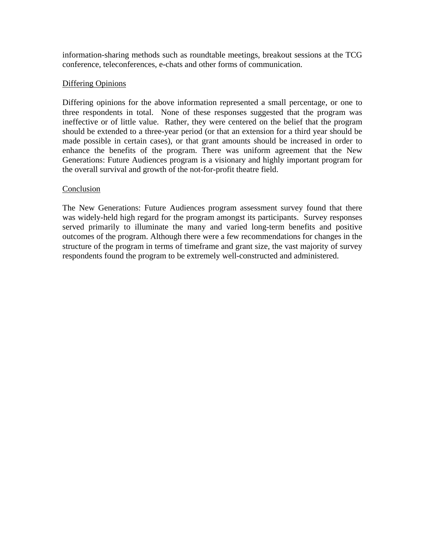information-sharing methods such as roundtable meetings, breakout sessions at the TCG conference, teleconferences, e-chats and other forms of communication.

## Differing Opinions

Differing opinions for the above information represented a small percentage, or one to three respondents in total. None of these responses suggested that the program was ineffective or of little value. Rather, they were centered on the belief that the program should be extended to a three-year period (or that an extension for a third year should be made possible in certain cases), or that grant amounts should be increased in order to enhance the benefits of the program. There was uniform agreement that the New Generations: Future Audiences program is a visionary and highly important program for the overall survival and growth of the not-for-profit theatre field.

# Conclusion

The New Generations: Future Audiences program assessment survey found that there was widely-held high regard for the program amongst its participants. Survey responses served primarily to illuminate the many and varied long-term benefits and positive outcomes of the program. Although there were a few recommendations for changes in the structure of the program in terms of timeframe and grant size, the vast majority of survey respondents found the program to be extremely well-constructed and administered.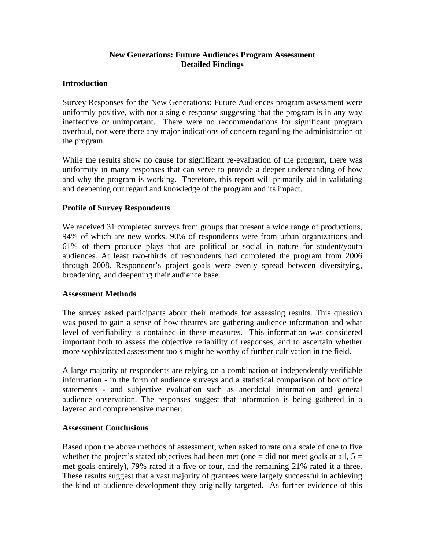# **New Generations: Future Audiences Program Assessment Detailed Findings**

# **Introduction**

Survey Responses for the New Generations: Future Audiences program assessment were uniformly positive, with not a single response suggesting that the program is in any way ineffective or unimportant. There were no recommendations for significant program overhaul, nor were there any major indications of concern regarding the administration of the program.

While the results show no cause for significant re-evaluation of the program, there was uniformity in many responses that can serve to provide a deeper understanding of how and why the program is working. Therefore, this report will primarily aid in validating and deepening our regard and knowledge of the program and its impact.

# **Profile of Survey Respondents**

We received 31 completed surveys from groups that present a wide range of productions, 94% of which are new works. 90% of respondents were from urban organizations and 61% of them produce plays that are political or social in nature for student/youth audiences. At least two-thirds of respondents had completed the program from 2006 through 2008. Respondent's project goals were evenly spread between diversifying, broadening, and deepening their audience base.

## **Assessment Methods**

The survey asked participants about their methods for assessing results. This question was posed to gain a sense of how theatres are gathering audience information and what level of verifiability is contained in these measures. This information was considered important both to assess the objective reliability of responses, and to ascertain whether more sophisticated assessment tools might be worthy of further cultivation in the field.

A large majority of respondents are relying on a combination of independently verifiable information - in the form of audience surveys and a statistical comparison of box office statements - and subjective evaluation such as anecdotal information and general audience observation. The responses suggest that information is being gathered in a layered and comprehensive manner.

## **Assessment Conclusions**

Based upon the above methods of assessment, when asked to rate on a scale of one to five whether the project's stated objectives had been met (one  $=$  did not meet goals at all,  $5 =$ met goals entirely), 79% rated it a five or four, and the remaining 21% rated it a three. These results suggest that a vast majority of grantees were largely successful in achieving the kind of audience development they originally targeted. As further evidence of this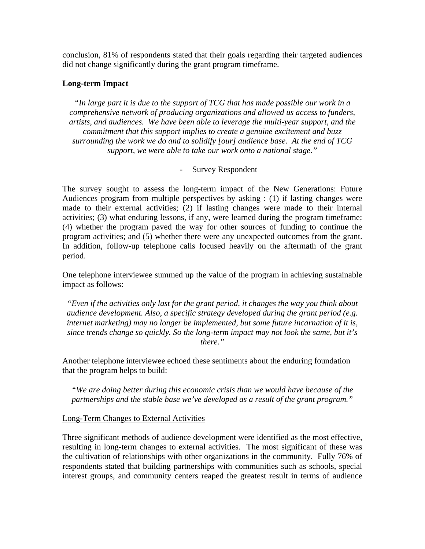conclusion, 81% of respondents stated that their goals regarding their targeted audiences did not change significantly during the grant program timeframe.

# **Long-term Impact**

*"In large part it is due to the support of TCG that has made possible our work in a comprehensive network of producing organizations and allowed us access to funders, artists, and audiences. We have been able to leverage the multi-year support, and the commitment that this support implies to create a genuine excitement and buzz surrounding the work we do and to solidify [our] audience base. At the end of TCG support, we were able to take our work onto a national stage."* 

## - Survey Respondent

The survey sought to assess the long-term impact of the New Generations: Future Audiences program from multiple perspectives by asking : (1) if lasting changes were made to their external activities; (2) if lasting changes were made to their internal activities; (3) what enduring lessons, if any, were learned during the program timeframe; (4) whether the program paved the way for other sources of funding to continue the program activities; and (5) whether there were any unexpected outcomes from the grant. In addition, follow-up telephone calls focused heavily on the aftermath of the grant period.

One telephone interviewee summed up the value of the program in achieving sustainable impact as follows:

*"Even if the activities only last for the grant period, it changes the way you think about audience development. Also, a specific strategy developed during the grant period (e.g. internet marketing) may no longer be implemented, but some future incarnation of it is, since trends change so quickly. So the long-term impact may not look the same, but it's there."* 

Another telephone interviewee echoed these sentiments about the enduring foundation that the program helps to build:

*"We are doing better during this economic crisis than we would have because of the partnerships and the stable base we've developed as a result of the grant program."* 

## Long-Term Changes to External Activities

Three significant methods of audience development were identified as the most effective, resulting in long-term changes to external activities. The most significant of these was the cultivation of relationships with other organizations in the community. Fully 76% of respondents stated that building partnerships with communities such as schools, special interest groups, and community centers reaped the greatest result in terms of audience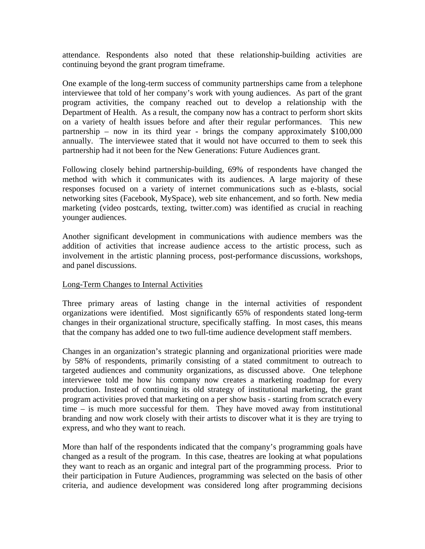attendance. Respondents also noted that these relationship-building activities are continuing beyond the grant program timeframe.

One example of the long-term success of community partnerships came from a telephone interviewee that told of her company's work with young audiences. As part of the grant program activities, the company reached out to develop a relationship with the Department of Health. As a result, the company now has a contract to perform short skits on a variety of health issues before and after their regular performances. This new partnership – now in its third year - brings the company approximately \$100,000 annually. The interviewee stated that it would not have occurred to them to seek this partnership had it not been for the New Generations: Future Audiences grant.

Following closely behind partnership-building, 69% of respondents have changed the method with which it communicates with its audiences. A large majority of these responses focused on a variety of internet communications such as e-blasts, social networking sites (Facebook, MySpace), web site enhancement, and so forth. New media marketing (video postcards, texting, twitter.com) was identified as crucial in reaching younger audiences.

Another significant development in communications with audience members was the addition of activities that increase audience access to the artistic process, such as involvement in the artistic planning process, post-performance discussions, workshops, and panel discussions.

## Long-Term Changes to Internal Activities

Three primary areas of lasting change in the internal activities of respondent organizations were identified. Most significantly 65% of respondents stated long-term changes in their organizational structure, specifically staffing. In most cases, this means that the company has added one to two full-time audience development staff members.

Changes in an organization's strategic planning and organizational priorities were made by 58% of respondents, primarily consisting of a stated commitment to outreach to targeted audiences and community organizations, as discussed above. One telephone interviewee told me how his company now creates a marketing roadmap for every production. Instead of continuing its old strategy of institutional marketing, the grant program activities proved that marketing on a per show basis - starting from scratch every time – is much more successful for them. They have moved away from institutional branding and now work closely with their artists to discover what it is they are trying to express, and who they want to reach.

More than half of the respondents indicated that the company's programming goals have changed as a result of the program. In this case, theatres are looking at what populations they want to reach as an organic and integral part of the programming process. Prior to their participation in Future Audiences, programming was selected on the basis of other criteria, and audience development was considered long after programming decisions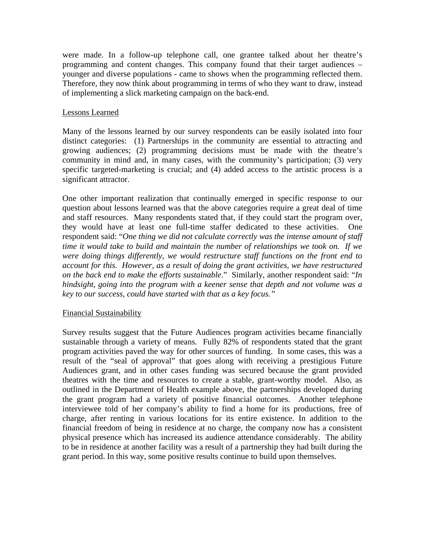were made. In a follow-up telephone call, one grantee talked about her theatre's programming and content changes. This company found that their target audiences – younger and diverse populations - came to shows when the programming reflected them. Therefore, they now think about programming in terms of who they want to draw, instead of implementing a slick marketing campaign on the back-end.

## Lessons Learned

Many of the lessons learned by our survey respondents can be easily isolated into four distinct categories: (1) Partnerships in the community are essential to attracting and growing audiences; (2) programming decisions must be made with the theatre's community in mind and, in many cases, with the community's participation; (3) very specific targeted-marketing is crucial; and (4) added access to the artistic process is a significant attractor.

One other important realization that continually emerged in specific response to our question about lessons learned was that the above categories require a great deal of time and staff resources. Many respondents stated that, if they could start the program over, they would have at least one full-time staffer dedicated to these activities. One respondent said: "*One thing we did not calculate correctly was the intense amount of staff time it would take to build and maintain the number of relationships we took on. If we were doing things differently, we would restructure staff functions on the front end to account for this. However, as a result of doing the grant activities, we have restructured on the back end to make the efforts sustainable*." Similarly, another respondent said: "*In hindsight, going into the program with a keener sense that depth and not volume was a key to our success, could have started with that as a key focus."* 

#### Financial Sustainability

Survey results suggest that the Future Audiences program activities became financially sustainable through a variety of means. Fully 82% of respondents stated that the grant program activities paved the way for other sources of funding. In some cases, this was a result of the "seal of approval" that goes along with receiving a prestigious Future Audiences grant, and in other cases funding was secured because the grant provided theatres with the time and resources to create a stable, grant-worthy model. Also, as outlined in the Department of Health example above, the partnerships developed during the grant program had a variety of positive financial outcomes. Another telephone interviewee told of her company's ability to find a home for its productions, free of charge, after renting in various locations for its entire existence. In addition to the financial freedom of being in residence at no charge, the company now has a consistent physical presence which has increased its audience attendance considerably. The ability to be in residence at another facility was a result of a partnership they had built during the grant period. In this way, some positive results continue to build upon themselves.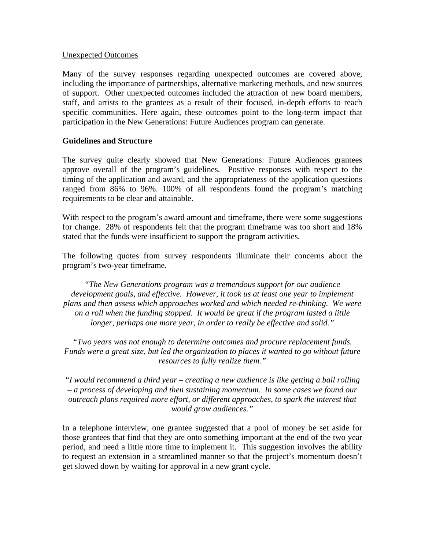### Unexpected Outcomes

Many of the survey responses regarding unexpected outcomes are covered above, including the importance of partnerships, alternative marketing methods, and new sources of support. Other unexpected outcomes included the attraction of new board members, staff, and artists to the grantees as a result of their focused, in-depth efforts to reach specific communities. Here again, these outcomes point to the long-term impact that participation in the New Generations: Future Audiences program can generate.

## **Guidelines and Structure**

The survey quite clearly showed that New Generations: Future Audiences grantees approve overall of the program's guidelines. Positive responses with respect to the timing of the application and award, and the appropriateness of the application questions ranged from 86% to 96%. 100% of all respondents found the program's matching requirements to be clear and attainable.

With respect to the program's award amount and timeframe, there were some suggestions for change. 28% of respondents felt that the program timeframe was too short and 18% stated that the funds were insufficient to support the program activities.

The following quotes from survey respondents illuminate their concerns about the program's two-year timeframe.

*"The New Generations program was a tremendous support for our audience*  development goals, and effective. However, it took us at least one year to implement *plans and then assess which approaches worked and which needed re-thinking. We were on a roll when the funding stopped. It would be great if the program lasted a little longer, perhaps one more year, in order to really be effective and solid."* 

*"Two years was not enough to determine outcomes and procure replacement funds. Funds were a great size, but led the organization to places it wanted to go without future resources to fully realize them."* 

*"I would recommend a third year – creating a new audience is like getting a ball rolling – a process of developing and then sustaining momentum. In some cases we found our outreach plans required more effort, or different approaches, to spark the interest that would grow audiences."* 

In a telephone interview, one grantee suggested that a pool of money be set aside for those grantees that find that they are onto something important at the end of the two year period, and need a little more time to implement it. This suggestion involves the ability to request an extension in a streamlined manner so that the project's momentum doesn't get slowed down by waiting for approval in a new grant cycle.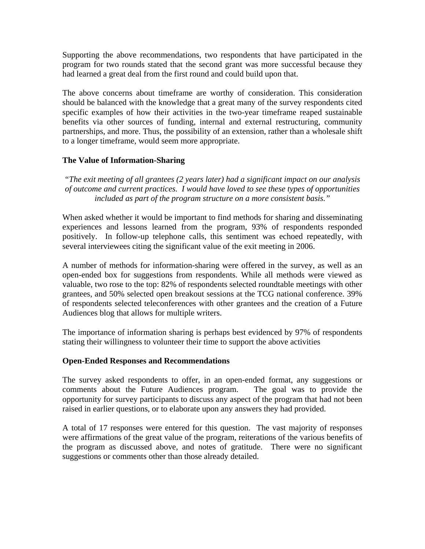Supporting the above recommendations, two respondents that have participated in the program for two rounds stated that the second grant was more successful because they had learned a great deal from the first round and could build upon that.

The above concerns about timeframe are worthy of consideration. This consideration should be balanced with the knowledge that a great many of the survey respondents cited specific examples of how their activities in the two-year timeframe reaped sustainable benefits via other sources of funding, internal and external restructuring, community partnerships, and more. Thus, the possibility of an extension, rather than a wholesale shift to a longer timeframe, would seem more appropriate.

# **The Value of Information-Sharing**

*"The exit meeting of all grantees (2 years later) had a significant impact on our analysis of outcome and current practices. I would have loved to see these types of opportunities included as part of the program structure on a more consistent basis."* 

When asked whether it would be important to find methods for sharing and disseminating experiences and lessons learned from the program, 93% of respondents responded positively. In follow-up telephone calls, this sentiment was echoed repeatedly, with several interviewees citing the significant value of the exit meeting in 2006.

A number of methods for information-sharing were offered in the survey, as well as an open-ended box for suggestions from respondents. While all methods were viewed as valuable, two rose to the top: 82% of respondents selected roundtable meetings with other grantees, and 50% selected open breakout sessions at the TCG national conference. 39% of respondents selected teleconferences with other grantees and the creation of a Future Audiences blog that allows for multiple writers.

The importance of information sharing is perhaps best evidenced by 97% of respondents stating their willingness to volunteer their time to support the above activities

## **Open-Ended Responses and Recommendations**

The survey asked respondents to offer, in an open-ended format, any suggestions or comments about the Future Audiences program. The goal was to provide the opportunity for survey participants to discuss any aspect of the program that had not been raised in earlier questions, or to elaborate upon any answers they had provided.

A total of 17 responses were entered for this question. The vast majority of responses were affirmations of the great value of the program, reiterations of the various benefits of the program as discussed above, and notes of gratitude. There were no significant suggestions or comments other than those already detailed.